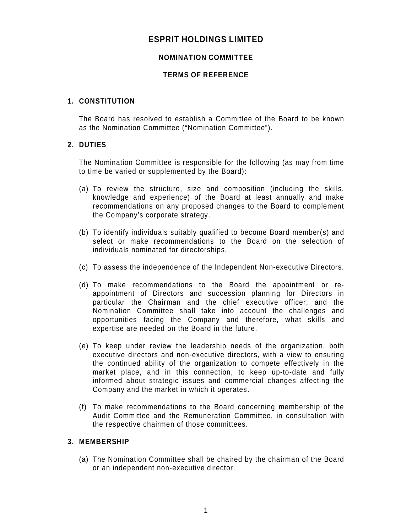# **ESPRIT HOLDINGS LIMITED**

# **NOMINATION COMMITTEE**

## **TERMS OF REFERENCE**

### **1. CONSTITUTION**

The Board has resolved to establish a Committee of the Board to be known as the Nomination Committee ("Nomination Committee").

### **2. DUTIES**

The Nomination Committee is responsible for the following (as may from time to time be varied or supplemented by the Board):

- (a) To review the structure, size and composition (including the skills, knowledge and experience) of the Board at least annually and make recommendations on any proposed changes to the Board to complement the Company's corporate strategy.
- (b) To identify individuals suitably qualified to become Board member(s) and select or make recommendations to the Board on the selection of individuals nominated for directorships.
- (c) To assess the independence of the Independent Non-executive Directors.
- (d) To make recommendations to the Board the appointment or reappointment of Directors and succession planning for Directors in particular the Chairman and the chief executive officer, and the Nomination Committee shall take into account the challenges and opportunities facing the Company and therefore, what skills and expertise are needed on the Board in the future.
- (e) To keep under review the leadership needs of the organization, both executive directors and non-executive directors, with a view to ensuring the continued ability of the organization to compete effectively in the market place, and in this connection, to keep up-to-date and fully informed about strategic issues and commercial changes affecting the Company and the market in which it operates.
- (f) To make recommendations to the Board concerning membership of the Audit Committee and the Remuneration Committee, in consultation with the respective chairmen of those committees.

### **3. MEMBERSHIP**

(a) The Nomination Committee shall be chaired by the chairman of the Board or an independent non-executive director.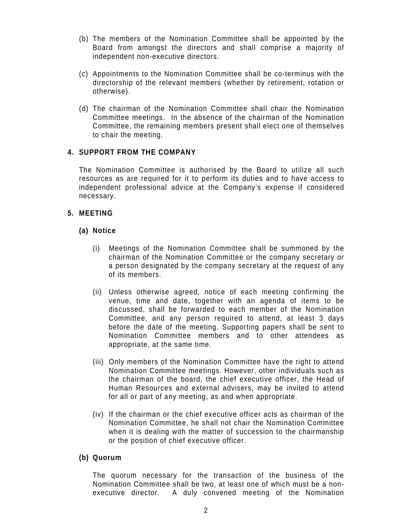- (b) The members of the Nomination Committee shall be appointed by the Board from amongst the directors and shall comprise a majority of independent non-executive directors.
- (c) Appointments to the Nomination Committee shall be co-terminus with the directorship of the relevant members (whether by retirement, rotation or otherwise).
- (d) The chairman of the Nomination Committee shall chair the Nomination Committee meetings. In the absence of the chairman of the Nomination Committee, the remaining members present shall elect one of themselves to chair the meeting.

### **4. SUPPORT FROM THE COMPANY**

The Nomination Committee is authorised by the Board to utilize all such resources as are required for it to perform its duties and to have access to independent professional advice at the Company's expense if considered necessary.

#### **5. MEETING**

#### **(a) Notice**

- (i) Meetings of the Nomination Committee shall be summoned by the chairman of the Nomination Committee or the company secretary or a person designated by the company secretary at the request of any of its members.
- (ii) Unless otherwise agreed, notice of each meeting confirming the venue, time and date, together with an agenda of items to be discussed, shall be forwarded to each member of the Nomination Committee, and any person required to attend, at least 3 days before the date of the meeting. Supporting papers shall be sent to Nomination Committee members and to other attendees as appropriate, at the same time.
- (iii) Only members of the Nomination Committee have the right to attend Nomination Committee meetings. However, other individuals such as the chairman of the board, the chief executive officer, the Head of Human Resources and external advisers, may be invited to attend for all or part of any meeting, as and when appropriate.
- (iv) If the chairman or the chief executive officer acts as chairman of the Nomination Committee, he shall not chair the Nomination Committee when it is dealing with the matter of succession to the chairmanship or the position of chief executive officer.

#### **(b) Quorum**

The quorum necessary for the transaction of the business of the Nomination Committee shall be two, at least one of which must be a nonexecutive director. A duly convened meeting of the Nomination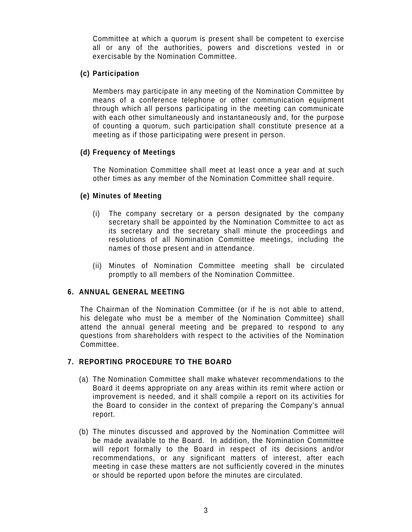Committee at which a quorum is present shall be competent to exercise all or any of the authorities, powers and discretions vested in or exercisable by the Nomination Committee.

## **(c) Participation**

Members may participate in any meeting of the Nomination Committee by means of a conference telephone or other communication equipment through which all persons participating in the meeting can communicate with each other simultaneously and instantaneously and, for the purpose of counting a quorum, such participation shall constitute presence at a meeting as if those participating were present in person.

# **(d) Frequency of Meetings**

The Nomination Committee shall meet at least once a year and at such other times as any member of the Nomination Committee shall require.

# **(e) Minutes of Meeting**

- (i) The company secretary or a person designated by the company secretary shall be appointed by the Nomination Committee to act as its secretary and the secretary shall minute the proceedings and resolutions of all Nomination Committee meetings, including the names of those present and in attendance.
- (ii) Minutes of Nomination Committee meeting shall be circulated promptly to all members of the Nomination Committee.

### **6. ANNUAL GENERAL MEETING**

The Chairman of the Nomination Committee (or if he is not able to attend, his delegate who must be a member of the Nomination Committee) shall attend the annual general meeting and be prepared to respond to any questions from shareholders with respect to the activities of the Nomination Committee.

# **7. REPORTING PROCEDURE TO THE BOARD**

- (a) The Nomination Committee shall make whatever recommendations to the Board it deems appropriate on any areas within its remit where action or improvement is needed, and it shall compile a report on its activities for the Board to consider in the context of preparing the Company's annual report.
- (b) The minutes discussed and approved by the Nomination Committee will be made available to the Board. In addition, the Nomination Committee will report formally to the Board in respect of its decisions and/or recommendations, or any significant matters of interest, after each meeting in case these matters are not sufficiently covered in the minutes or should be reported upon before the minutes are circulated.